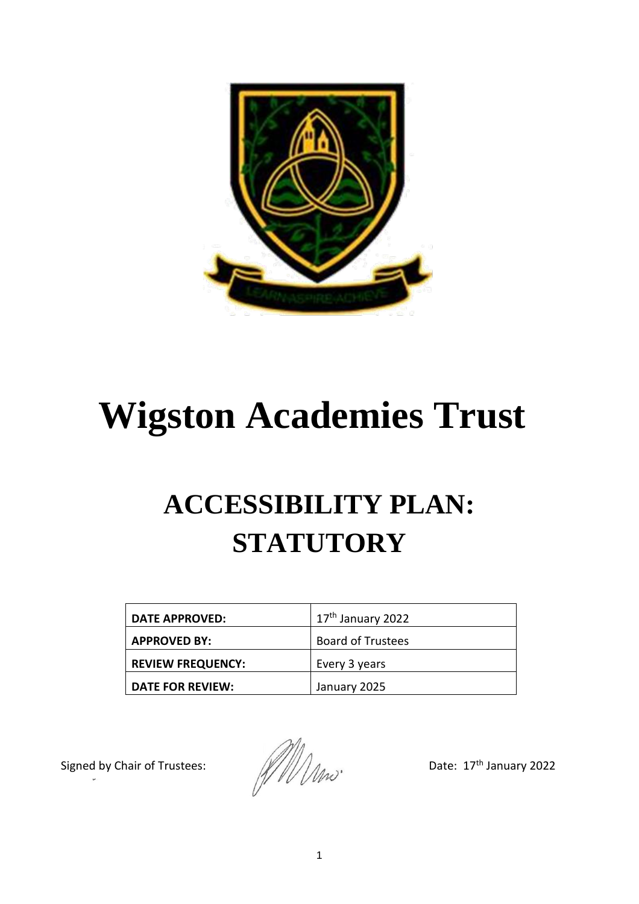

# **Wigston Academies Trust**

# **ACCESSIBILITY PLAN: STATUTORY**

| <b>DATE APPROVED:</b>    | 17 <sup>th</sup> January 2022 |
|--------------------------|-------------------------------|
| <b>APPROVED BY:</b>      | <b>Board of Trustees</b>      |
| <b>REVIEW FREQUENCY:</b> | Every 3 years                 |
| DATE FOR REVIEW:         | January 2025                  |

Signed by Chair of Trustees:  $\frac{1}{2}$  anuary 2022<br>Date: 17<sup>th</sup> January 2022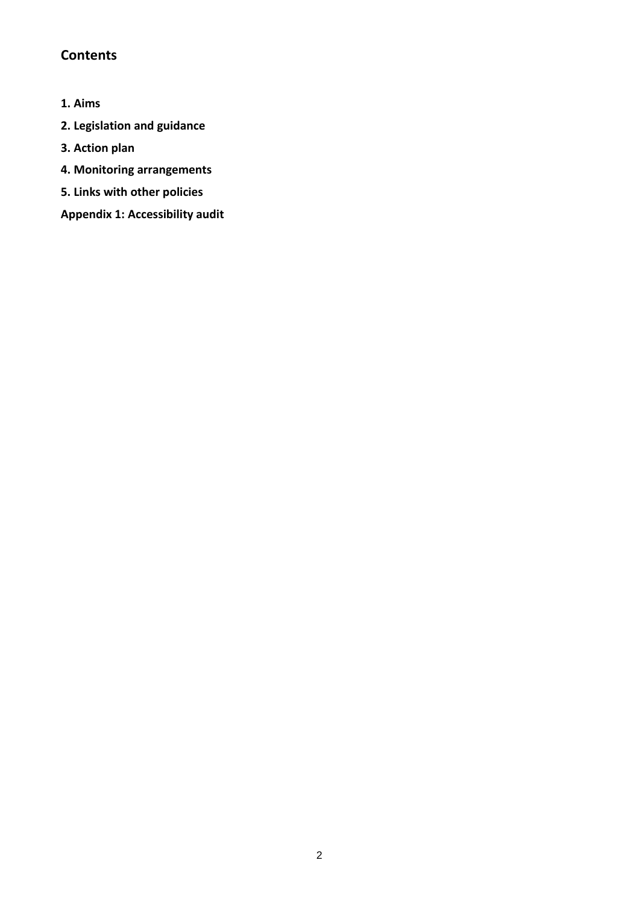## **Contents**

- **1. Aims**
- **2. Legislation and guidance**
- **3. Action plan**
- **4. Monitoring arrangements**
- **5. Links with other policies**

**Appendix 1: Accessibility audit**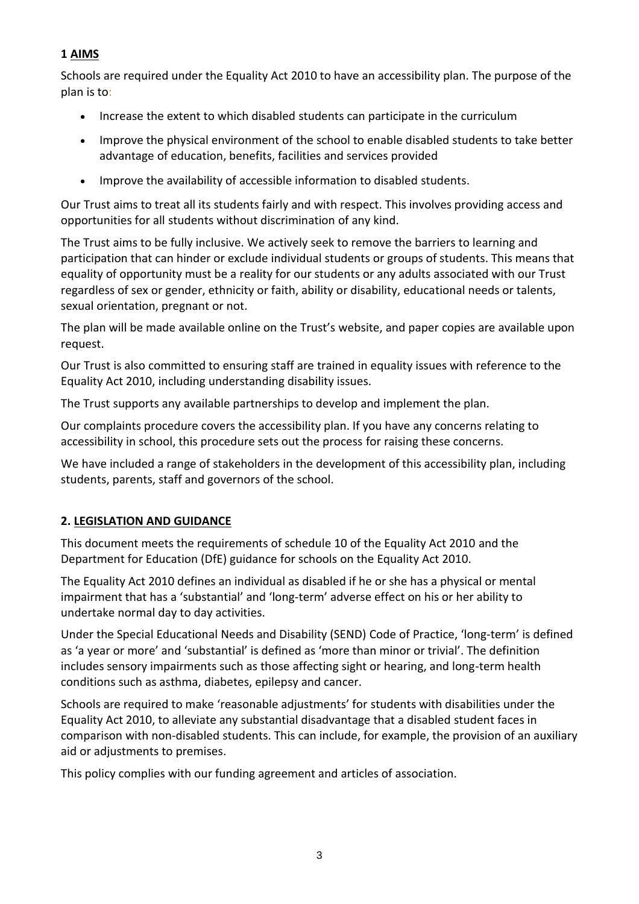#### **1 AIMS**

Schools are required under the Equality Act 2010 to have an accessibility plan. The purpose of the plan is to:

- Increase the extent to which disabled students can participate in the curriculum
- Improve the physical environment of the school to enable disabled students to take better advantage of education, benefits, facilities and services provided
- Improve the availability of accessible information to disabled students.

Our Trust aims to treat all its students fairly and with respect. This involves providing access and opportunities for all students without discrimination of any kind.

The Trust aims to be fully inclusive. We actively seek to remove the barriers to learning and participation that can hinder or exclude individual students or groups of students. This means that equality of opportunity must be a reality for our students or any adults associated with our Trust regardless of sex or gender, ethnicity or faith, ability or disability, educational needs or talents, sexual orientation, pregnant or not.

The plan will be made available online on the Trust's website, and paper copies are available upon request.

Our Trust is also committed to ensuring staff are trained in equality issues with reference to the Equality Act 2010, including understanding disability issues.

The Trust supports any available partnerships to develop and implement the plan.

Our complaints procedure covers the accessibility plan. If you have any concerns relating to accessibility in school, this procedure sets out the process for raising these concerns.

We have included a range of stakeholders in the development of this accessibility plan, including students, parents, staff and governors of the school.

#### **2. LEGISLATION AND GUIDANCE**

This document meets the requirements of schedule 10 of the Equality Act 2010 and the Department for Education (DfE) guidance for schools on the Equality Act 2010.

The Equality Act 2010 defines an individual as disabled if he or she has a physical or mental impairment that has a 'substantial' and 'long-term' adverse effect on his or her ability to undertake normal day to day activities.

Under the Special Educational Needs and Disability (SEND) Code of Practice, 'long-term' is defined as 'a year or more' and 'substantial' is defined as 'more than minor or trivial'. The definition includes sensory impairments such as those affecting sight or hearing, and long-term health conditions such as asthma, diabetes, epilepsy and cancer.

Schools are required to make 'reasonable adjustments' for students with disabilities under the Equality Act 2010, to alleviate any substantial disadvantage that a disabled student faces in comparison with non-disabled students. This can include, for example, the provision of an auxiliary aid or adjustments to premises.

This policy complies with our funding agreement and articles of association.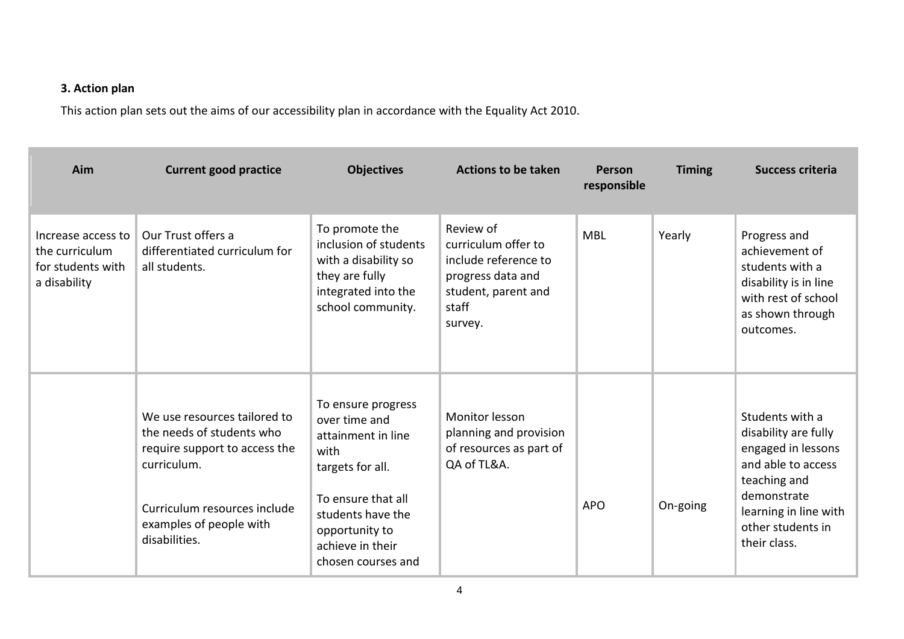### **3. Action plan**

This action plan sets out the aims of our accessibility plan in accordance with the Equality Act 2010.

| Aim                                                                       | <b>Current good practice</b>                                                                                                                                                          | <b>Objectives</b>                                                                                                                                                                            | <b>Actions to be taken</b>                                                                                               | Person<br>responsible | <b>Timing</b> | <b>Success criteria</b>                                                                                                                                                          |
|---------------------------------------------------------------------------|---------------------------------------------------------------------------------------------------------------------------------------------------------------------------------------|----------------------------------------------------------------------------------------------------------------------------------------------------------------------------------------------|--------------------------------------------------------------------------------------------------------------------------|-----------------------|---------------|----------------------------------------------------------------------------------------------------------------------------------------------------------------------------------|
| Increase access to<br>the curriculum<br>for students with<br>a disability | Our Trust offers a<br>differentiated curriculum for<br>all students.                                                                                                                  | To promote the<br>inclusion of students<br>with a disability so<br>they are fully<br>integrated into the<br>school community.                                                                | Review of<br>curriculum offer to<br>include reference to<br>progress data and<br>student, parent and<br>staff<br>survey. | <b>MBL</b>            | Yearly        | Progress and<br>achievement of<br>students with a<br>disability is in line<br>with rest of school<br>as shown through<br>outcomes.                                               |
|                                                                           | We use resources tailored to<br>the needs of students who<br>require support to access the<br>curriculum.<br>Curriculum resources include<br>examples of people with<br>disabilities. | To ensure progress<br>over time and<br>attainment in line<br>with<br>targets for all.<br>To ensure that all<br>students have the<br>opportunity to<br>achieve in their<br>chosen courses and | Monitor lesson<br>planning and provision<br>of resources as part of<br>QA of TL&A.                                       | <b>APO</b>            | On-going      | Students with a<br>disability are fully<br>engaged in lessons<br>and able to access<br>teaching and<br>demonstrate<br>learning in line with<br>other students in<br>their class. |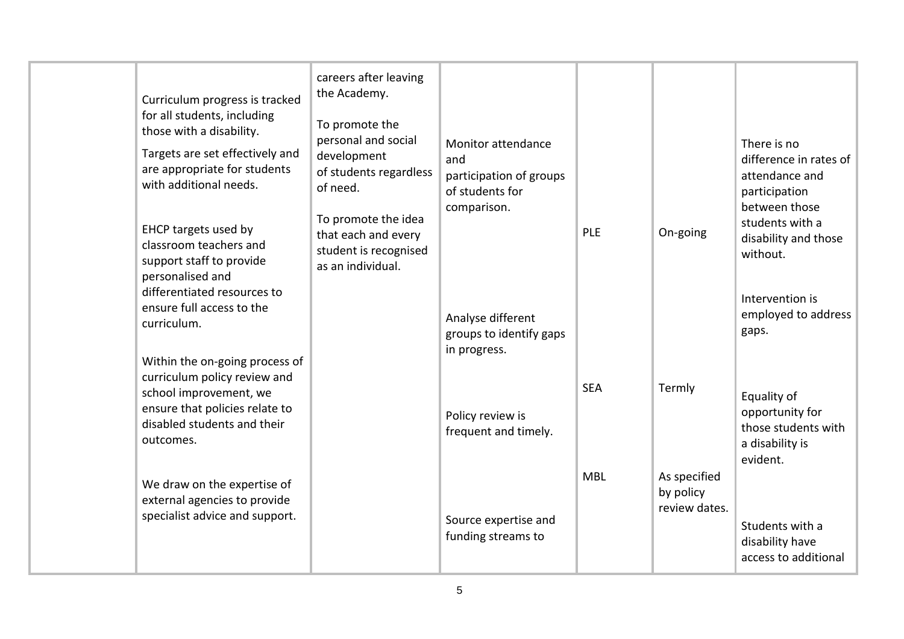| Curriculum progress is tracked<br>for all students, including<br>those with a disability.<br>Targets are set effectively and<br>are appropriate for students<br>with additional needs.<br>EHCP targets used by<br>classroom teachers and<br>support staff to provide<br>personalised and | careers after leaving<br>the Academy.<br>To promote the<br>personal and social<br>development<br>of students regardless<br>of need.<br>To promote the idea<br>that each and every<br>student is recognised<br>as an individual. | Monitor attendance<br>and<br>participation of groups<br>of students for<br>comparison. | PLE        | On-going                                   | There is no<br>difference in rates of<br>attendance and<br>participation<br>between those<br>students with a<br>disability and those<br>without. |
|------------------------------------------------------------------------------------------------------------------------------------------------------------------------------------------------------------------------------------------------------------------------------------------|---------------------------------------------------------------------------------------------------------------------------------------------------------------------------------------------------------------------------------|----------------------------------------------------------------------------------------|------------|--------------------------------------------|--------------------------------------------------------------------------------------------------------------------------------------------------|
| differentiated resources to<br>ensure full access to the<br>curriculum.                                                                                                                                                                                                                  |                                                                                                                                                                                                                                 | Analyse different<br>groups to identify gaps<br>in progress.                           |            |                                            | Intervention is<br>employed to address<br>gaps.                                                                                                  |
| Within the on-going process of<br>curriculum policy review and<br>school improvement, we<br>ensure that policies relate to<br>disabled students and their<br>outcomes.                                                                                                                   |                                                                                                                                                                                                                                 | Policy review is<br>frequent and timely.                                               | <b>SEA</b> | Termly                                     | Equality of<br>opportunity for<br>those students with<br>a disability is<br>evident.                                                             |
| We draw on the expertise of<br>external agencies to provide<br>specialist advice and support.                                                                                                                                                                                            |                                                                                                                                                                                                                                 | Source expertise and<br>funding streams to                                             | <b>MBL</b> | As specified<br>by policy<br>review dates. | Students with a<br>disability have<br>access to additional                                                                                       |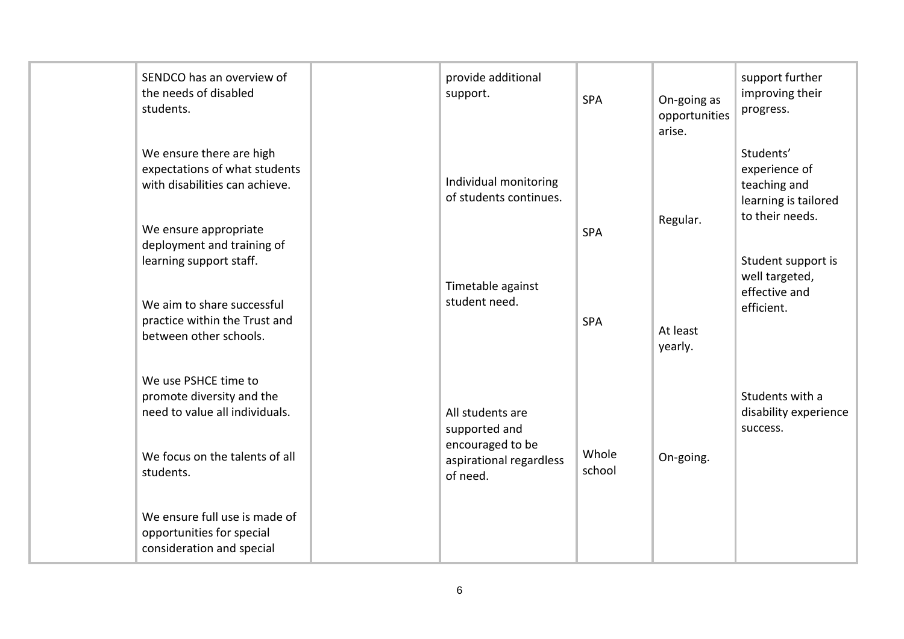| SENDCO has an overview of<br>the needs of disabled<br>students.                                                                                | provide additional<br>support.                                                               | <b>SPA</b>      | On-going as<br>opportunities<br>arise. | support further<br>improving their<br>progress.                                       |
|------------------------------------------------------------------------------------------------------------------------------------------------|----------------------------------------------------------------------------------------------|-----------------|----------------------------------------|---------------------------------------------------------------------------------------|
| We ensure there are high<br>expectations of what students<br>with disabilities can achieve.<br>We ensure appropriate                           | Individual monitoring<br>of students continues.                                              | <b>SPA</b>      | Regular.                               | Students'<br>experience of<br>teaching and<br>learning is tailored<br>to their needs. |
| deployment and training of<br>learning support staff.<br>We aim to share successful<br>practice within the Trust and<br>between other schools. | Timetable against<br>student need.                                                           | <b>SPA</b>      | At least<br>yearly.                    | Student support is<br>well targeted,<br>effective and<br>efficient.                   |
| We use PSHCE time to<br>promote diversity and the<br>need to value all individuals.<br>We focus on the talents of all<br>students.             | All students are<br>supported and<br>encouraged to be<br>aspirational regardless<br>of need. | Whole<br>school | On-going.                              | Students with a<br>disability experience<br>success.                                  |
| We ensure full use is made of<br>opportunities for special<br>consideration and special                                                        |                                                                                              |                 |                                        |                                                                                       |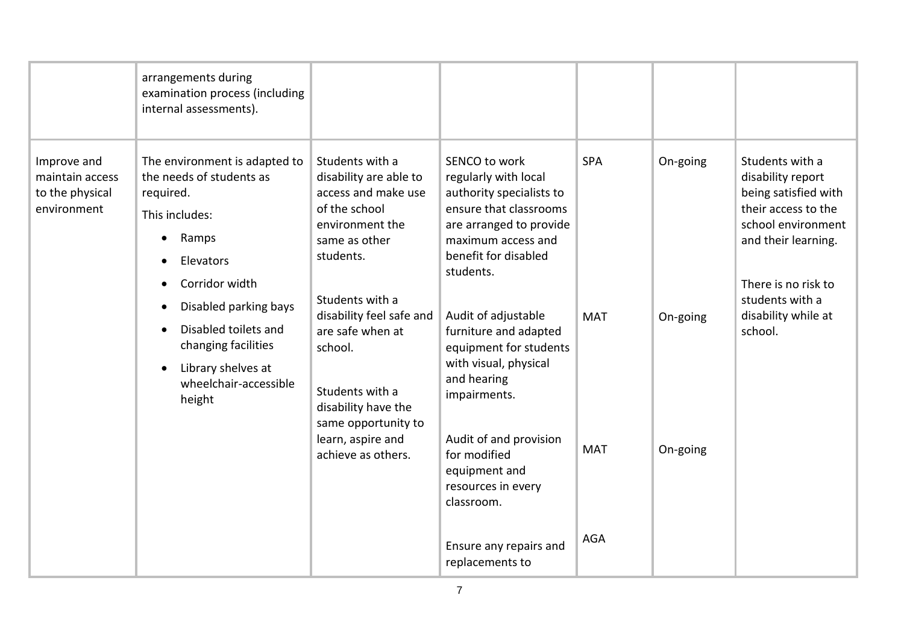| Improve and                                       | arrangements during<br>examination process (including<br>internal assessments).<br>The environment is adapted to         | Students with a                                                                                                                    | SENCO to work                                                                                                                                                    | <b>SPA</b> | On-going | Students with a                                                                                                                                         |
|---------------------------------------------------|--------------------------------------------------------------------------------------------------------------------------|------------------------------------------------------------------------------------------------------------------------------------|------------------------------------------------------------------------------------------------------------------------------------------------------------------|------------|----------|---------------------------------------------------------------------------------------------------------------------------------------------------------|
| maintain access<br>to the physical<br>environment | the needs of students as<br>required.<br>This includes:<br>Ramps<br>Elevators<br>Corridor width<br>Disabled parking bays | disability are able to<br>access and make use<br>of the school<br>environment the<br>same as other<br>students.<br>Students with a | regularly with local<br>authority specialists to<br>ensure that classrooms<br>are arranged to provide<br>maximum access and<br>benefit for disabled<br>students. |            |          | disability report<br>being satisfied with<br>their access to the<br>school environment<br>and their learning.<br>There is no risk to<br>students with a |
|                                                   | Disabled toilets and<br>changing facilities<br>Library shelves at<br>$\bullet$<br>wheelchair-accessible<br>height        | disability feel safe and<br>are safe when at<br>school.<br>Students with a<br>disability have the<br>same opportunity to           | Audit of adjustable<br>furniture and adapted<br>equipment for students<br>with visual, physical<br>and hearing<br>impairments.                                   | <b>MAT</b> | On-going | disability while at<br>school.                                                                                                                          |
|                                                   |                                                                                                                          | learn, aspire and<br>achieve as others.                                                                                            | Audit of and provision<br>for modified<br>equipment and<br>resources in every<br>classroom.                                                                      | <b>MAT</b> | On-going |                                                                                                                                                         |
|                                                   |                                                                                                                          |                                                                                                                                    | Ensure any repairs and<br>replacements to                                                                                                                        | <b>AGA</b> |          |                                                                                                                                                         |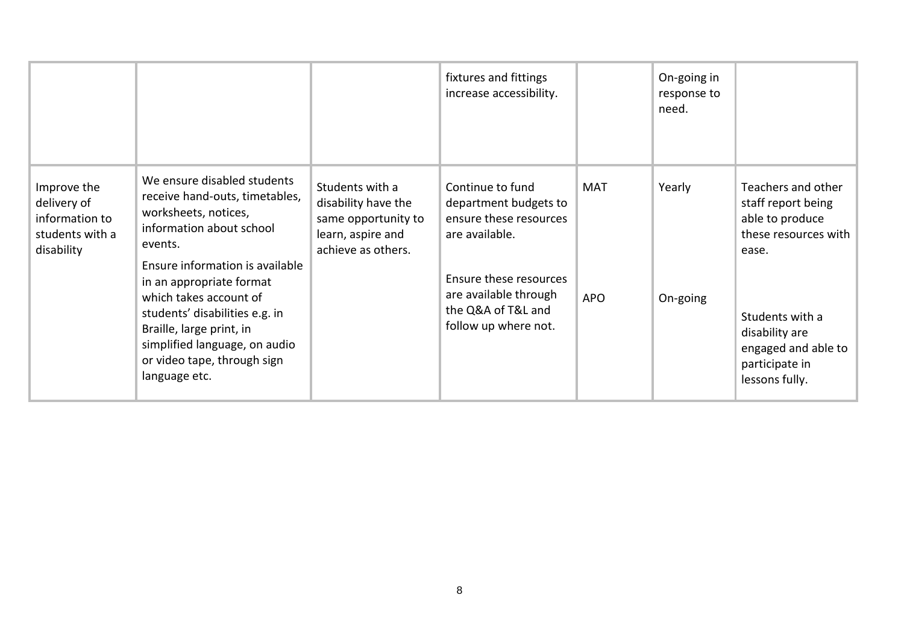|                                                                               |                                                                                                                                                                                                                                                                                                                                                                      |                                                                                                          | fixtures and fittings<br>increase accessibility.                                                                                                                                       |                          | On-going in<br>response to<br>need. |                                                                                                                                                                                              |
|-------------------------------------------------------------------------------|----------------------------------------------------------------------------------------------------------------------------------------------------------------------------------------------------------------------------------------------------------------------------------------------------------------------------------------------------------------------|----------------------------------------------------------------------------------------------------------|----------------------------------------------------------------------------------------------------------------------------------------------------------------------------------------|--------------------------|-------------------------------------|----------------------------------------------------------------------------------------------------------------------------------------------------------------------------------------------|
| Improve the<br>delivery of<br>information to<br>students with a<br>disability | We ensure disabled students<br>receive hand-outs, timetables,<br>worksheets, notices,<br>information about school<br>events.<br>Ensure information is available<br>in an appropriate format<br>which takes account of<br>students' disabilities e.g. in<br>Braille, large print, in<br>simplified language, on audio<br>or video tape, through sign<br>language etc. | Students with a<br>disability have the<br>same opportunity to<br>learn, aspire and<br>achieve as others. | Continue to fund<br>department budgets to<br>ensure these resources<br>are available.<br>Ensure these resources<br>are available through<br>the Q&A of T&L and<br>follow up where not. | <b>MAT</b><br><b>APO</b> | Yearly<br>On-going                  | Teachers and other<br>staff report being<br>able to produce<br>these resources with<br>ease.<br>Students with a<br>disability are<br>engaged and able to<br>participate in<br>lessons fully. |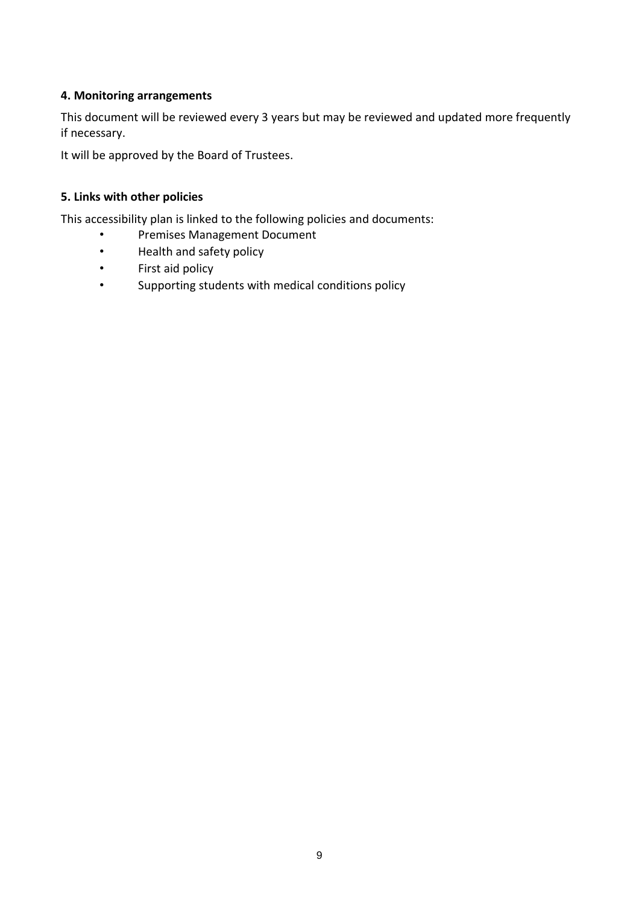#### **4. Monitoring arrangements**

This document will be reviewed every 3 years but may be reviewed and updated more frequently if necessary.

It will be approved by the Board of Trustees.

#### **5. Links with other policies**

This accessibility plan is linked to the following policies and documents:

- Premises Management Document
- Health and safety policy
- First aid policy
- Supporting students with medical conditions policy